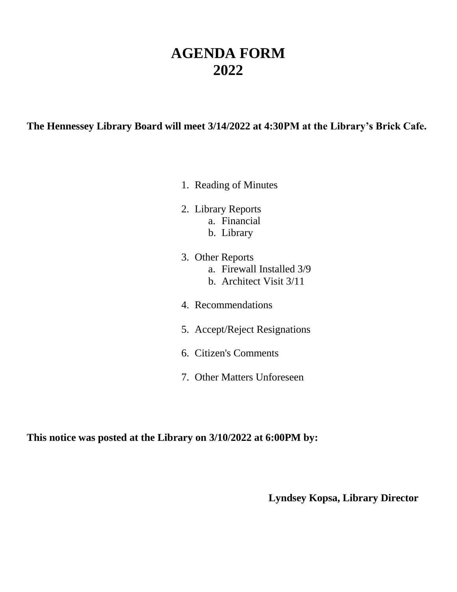# **AGENDA FORM 2022**

### **The Hennessey Library Board will meet 3/14/2022 at 4:30PM at the Library's Brick Cafe.**

- 1. Reading of Minutes
- 2. Library Reports a. Financial
	-
	- b. Library
- 3. Other Reports a. Firewall Installed 3/9 b. Architect Visit 3/11
- 4. Recommendations
- 5. Accept/Reject Resignations
- 6. Citizen's Comments
- 7. Other Matters Unforeseen

**This notice was posted at the Library on 3/10/2022 at 6:00PM by:**

**Lyndsey Kopsa, Library Director**